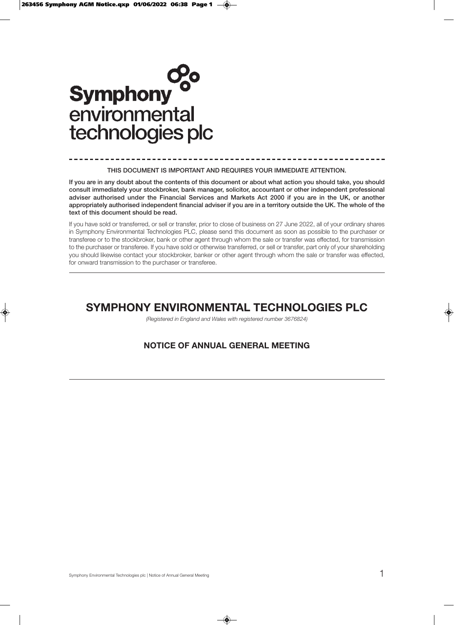

### **THIS DOCUMENT IS IMPORTANT AND REQUIRES YOUR IMMEDIATE ATTENTION.**

**If you are in any doubt about the contents of this document or about what action you should take, you should consult immediately your stockbroker, bank manager, solicitor, accountant or other independent professional adviser authorised under the Financial Services and Markets Act 2000 if you are in the UK, or another appropriately authorised independent financial adviser if you are in a territory outside the UK. The whole of the text of this document should be read.**

If you have sold or transferred, or sell or transfer, prior to close of business on 27 June 2022, all of your ordinary shares in Symphony Environmental Technologies PLC, please send this document as soon as possible to the purchaser or transferee or to the stockbroker, bank or other agent through whom the sale or transfer was effected, for transmission to the purchaser or transferee. If you have sold or otherwise transferred, or sell or transfer, part only of your shareholding you should likewise contact your stockbroker, banker or other agent through whom the sale or transfer was effected, for onward transmission to the purchaser or transferee.

# **SYMPHONY ENVIRONMENTAL TECHNOLOGIES PLC**

(Registered in England and Wales with registered number 3676824)

## **NOTICE OF ANNUAL GENERAL MEETING**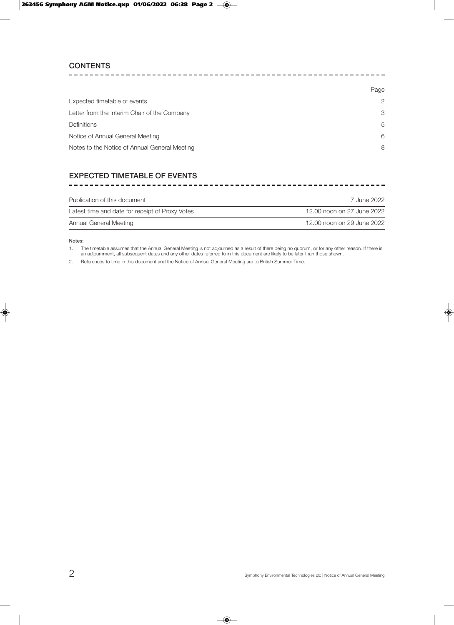## **CONTENTS**

|                                               | Page           |
|-----------------------------------------------|----------------|
| Expected timetable of events                  | $\overline{2}$ |
| Letter from the Interim Chair of the Company  | 3              |
| <b>Definitions</b>                            | 5              |
| Notice of Annual General Meeting              | 6              |
| Notes to the Notice of Annual General Meeting | 8              |

# **EXPECTED TIMETABLE OF EVENTS**

| Publication of this document                    | 7 June 2022                |
|-------------------------------------------------|----------------------------|
| Latest time and date for receipt of Proxy Votes | 12.00 noon on 27 June 2022 |
| Annual General Meeting                          | 12.00 noon on 29 June 2022 |

### **Notes:**

1. The timetable assumes that the Annual General Meeting is not adjourned as a result of there being no quorum, or for any other reason. If there is an adjournment, all subsequent dates and any other dates referred to in this document are likely to be later than those shown.

2. References to time in this document and the Notice of Annual General Meeting are to British Summer Time.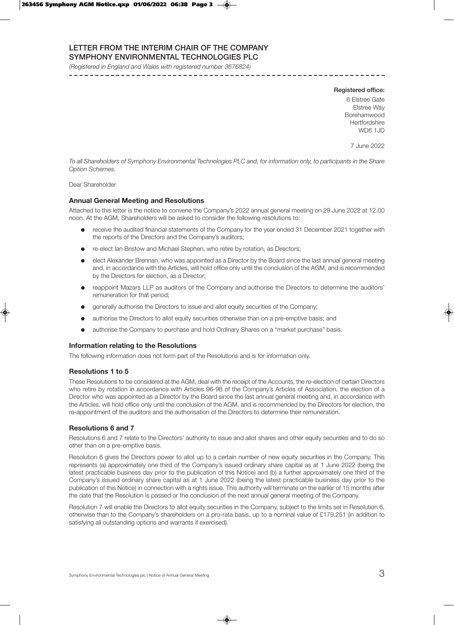## **LETTER FROM THE INTERIM CHAIR OF THE COMPANY SYMPHONY ENVIRONMENTAL TECHNOLOGIES PLC**

(Registered in England and Wales with registered number 3676824)

### **Registered office:**

6 Elstree Gate Elstree Way Borehamwood **Hertfordshire** WD6 1.ID

7 June 2022

To all Shareholders of Symphony Environmental Technologies PLC and, for information only, to participants in the Share Option Schemes.

## Dear Shareholder

### **Annual General Meeting and Resolutions**

Attached to this letter is the notice to convene the Company's 2022 annual general meeting on 29 June 2022 at 12.00 noon. At the AGM, Shareholders will be asked to consider the following resolutions to:

- receive the audited financial statements of the Company for the year ended 31 December 2021 together with the reports of the Directors and the Company's auditors;
- re-elect Ian Bristow and Michael Stephen, who retire by rotation, as Directors;
- l elect Alexander Brennan, who was appointed as a Director by the Board since the last annual general meeting and, in accordance with the Articles, will hold office only until the conclusion of the AGM, and is recommended by the Directors for election, as a Director;
- reappoint Mazars LLP as auditors of the Company and authorise the Directors to determine the auditors' remuneration for that period;
- **e** generally authorise the Directors to issue and allot equity securities of the Company;
- authorise the Directors to allot equity securities otherwise than on a pre-emptive basis; and
- authorise the Company to purchase and hold Ordinary Shares on a "market purchase" basis.

### **Information relating to the Resolutions**

The following information does not form part of the Resolutions and is for information only.

### **Resolutions 1 to 5**

These Resolutions to be considered at the AGM, deal with the receipt of the Accounts, the re-election of certain Directors who retire by rotation in accordance with Articles 96-98 of the Company's Articles of Association, the election of a Director who was appointed as a Director by the Board since the last annual general meeting and, in accordance with the Articles, will hold office only until the conclusion of the AGM, and is recommended by the Directors for election, the re-appointment of the auditors and the authorisation of the Directors to determine their remuneration.

## **Resolutions 6 and 7**

Resolutions 6 and 7 relate to the Directors' authority to issue and allot shares and other equity securities and to do so other than on a pre-emptive basis.

Resolution 6 gives the Directors power to allot up to a certain number of new equity securities in the Company. This represents (a) approximately one third of the Company's issued ordinary share capital as at 1 June 2022 (being the latest practicable business day prior to the publication of this Notice) and (b) a further approximately one third of the Company's issued ordinary share capital as at 1 June 2022 (being the latest practicable business day prior to the publication of this Notice) in connection with a rights issue. This authority will terminate on the earlier of 15 months after the date that the Resolution is passed or the conclusion of the next annual general meeting of the Company.

Resolution 7 will enable the Directors to allot equity securities in the Company, subject to the limits set in Resolution 6, otherwise than to the Company's shareholders on a pro-rata basis, up to a nominal value of £179,251 (in addition to satisfying all outstanding options and warrants if exercised).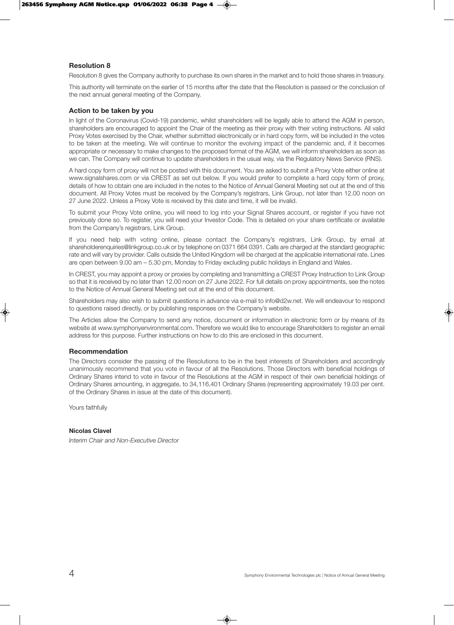## **Resolution 8**

Resolution 8 gives the Company authority to purchase its own shares in the market and to hold those shares in treasury.

This authority will terminate on the earlier of 15 months after the date that the Resolution is passed or the conclusion of the next annual general meeting of the Company.

## **Action to be taken by you**

In light of the Coronavirus (Covid-19) pandemic, whilst shareholders will be legally able to attend the AGM in person, shareholders are encouraged to appoint the Chair of the meeting as their proxy with their voting instructions. All valid Proxy Votes exercised by the Chair, whether submitted electronically or in hard copy form, will be included in the votes to be taken at the meeting. We will continue to monitor the evolving impact of the pandemic and, if it becomes appropriate or necessary to make changes to the proposed format of the AGM, we will inform shareholders as soon as we can. The Company will continue to update shareholders in the usual way, via the Regulatory News Service (RNS).

A hard copy form of proxy will not be posted with this document. You are asked to submit a Proxy Vote either online at www.signalshares.com or via CREST as set out below. If you would prefer to complete a hard copy form of proxy, details of how to obtain one are included in the notes to the Notice of Annual General Meeting set out at the end of this document. All Proxy Votes must be received by the Company's registrars, Link Group, not later than 12.00 noon on 27 June 2022. Unless a Proxy Vote is received by this date and time, it will be invalid.

To submit your Proxy Vote online, you will need to log into your Signal Shares account, or register if you have not previously done so. To register, you will need your Investor Code. This is detailed on your share certificate or available from the Company's registrars, Link Group.

If you need help with voting online, please contact the Company's registrars, Link Group, by email at shareholderenquiries@linkgroup.co.uk or by telephone on 0371 664 0391. Calls are charged at the standard geographic rate and will vary by provider. Calls outside the United Kingdom will be charged at the applicable international rate. Lines are open between 9.00 am – 5.30 pm, Monday to Friday excluding public holidays in England and Wales.

In CREST, you may appoint a proxy or proxies by completing and transmitting a CREST Proxy Instruction to Link Group so that it is received by no later than 12.00 noon on 27 June 2022. For full details on proxy appointments, see the notes to the Notice of Annual General Meeting set out at the end of this document.

Shareholders may also wish to submit questions in advance via e-mail to info@d2w.net. We will endeavour to respond to questions raised directly, or by publishing responses on the Company's website.

The Articles allow the Company to send any notice, document or information in electronic form or by means of its website at www.symphonyenvironmental.com. Therefore we would like to encourage Shareholders to register an email address for this purpose. Further instructions on how to do this are enclosed in this document.

## **Recommendation**

The Directors consider the passing of the Resolutions to be in the best interests of Shareholders and accordingly unanimously recommend that you vote in favour of all the Resolutions. Those Directors with beneficial holdings of Ordinary Shares intend to vote in favour of the Resolutions at the AGM in respect of their own beneficial holdings of Ordinary Shares amounting, in aggregate, to 34,116,401 Ordinary Shares (representing approximately 19.03 per cent. of the Ordinary Shares in issue at the date of this document).

Yours faithfully

## **Nicolas Clavel**

Interim Chair and Non-Executive Director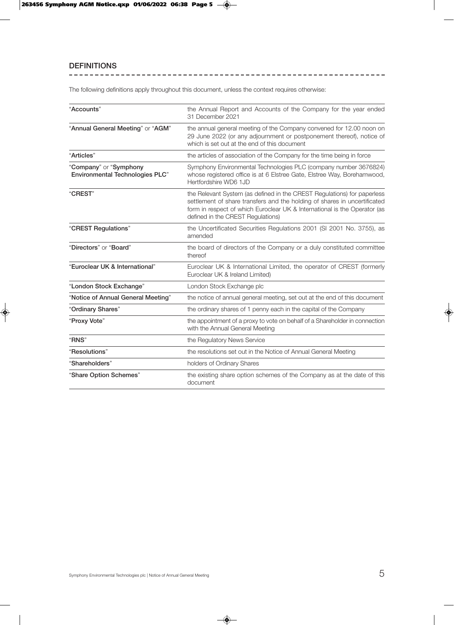# **DEFINITIONS**

The following definitions apply throughout this document, unless the context requires otherwise:

| "Accounts"                                                       | the Annual Report and Accounts of the Company for the year ended<br>31 December 2021                                                                                                                                                                                   |
|------------------------------------------------------------------|------------------------------------------------------------------------------------------------------------------------------------------------------------------------------------------------------------------------------------------------------------------------|
| "Annual General Meeting" or "AGM"                                | the annual general meeting of the Company convened for 12.00 noon on<br>29 June 2022 (or any adjournment or postponement thereof), notice of<br>which is set out at the end of this document                                                                           |
| "Articles"                                                       | the articles of association of the Company for the time being in force                                                                                                                                                                                                 |
| "Company" or "Symphony<br><b>Environmental Technologies PLC"</b> | Symphony Environmental Technologies PLC (company number 3676824)<br>whose registered office is at 6 Elstree Gate, Elstree Way, Borehamwood,<br>Hertfordshire WD6 1JD                                                                                                   |
| "CREST"                                                          | the Relevant System (as defined in the CREST Regulations) for paperless<br>settlement of share transfers and the holding of shares in uncertificated<br>form in respect of which Euroclear UK & International is the Operator (as<br>defined in the CREST Regulations) |
| "CREST Regulations"                                              | the Uncertificated Securities Regulations 2001 (SI 2001 No. 3755), as<br>amended                                                                                                                                                                                       |
| "Directors" or "Board"                                           | the board of directors of the Company or a duly constituted committee<br>thereof                                                                                                                                                                                       |
| "Euroclear UK & International"                                   | Euroclear UK & International Limited, the operator of CREST (formerly<br>Euroclear UK & Ireland Limited)                                                                                                                                                               |
| "London Stock Exchange"                                          | London Stock Exchange plc                                                                                                                                                                                                                                              |
| "Notice of Annual General Meeting"                               | the notice of annual general meeting, set out at the end of this document                                                                                                                                                                                              |
| "Ordinary Shares"                                                | the ordinary shares of 1 penny each in the capital of the Company                                                                                                                                                                                                      |
| "Proxy Vote"                                                     | the appointment of a proxy to vote on behalf of a Shareholder in connection<br>with the Annual General Meeting                                                                                                                                                         |
| "RNS"                                                            | the Regulatory News Service                                                                                                                                                                                                                                            |
| "Resolutions"                                                    | the resolutions set out in the Notice of Annual General Meeting                                                                                                                                                                                                        |
| "Shareholders"                                                   | holders of Ordinary Shares                                                                                                                                                                                                                                             |
| "Share Option Schemes"                                           | the existing share option schemes of the Company as at the date of this<br>document                                                                                                                                                                                    |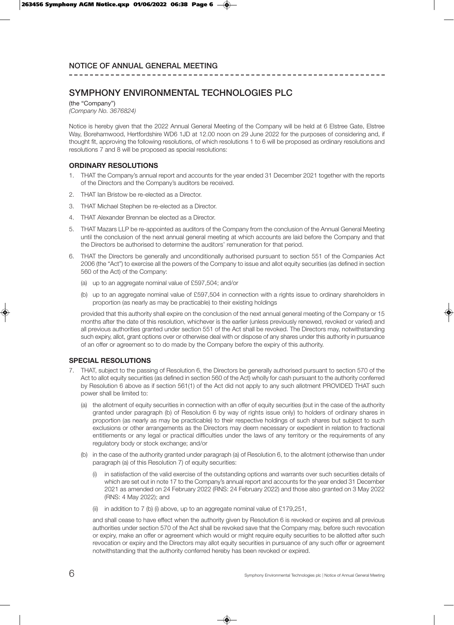# **SYMPHONY ENVIRONMENTAL TECHNOLOGIES PLC**

(the "Company") (Company No. 3676824)

Notice is hereby given that the 2022 Annual General Meeting of the Company will be held at 6 Elstree Gate, Elstree Way, Borehamwood, Hertfordshire WD6 1JD at 12.00 noon on 29 June 2022 for the purposes of considering and, if thought fit, approving the following resolutions, of which resolutions 1 to 6 will be proposed as ordinary resolutions and resolutions 7 and 8 will be proposed as special resolutions:

## **ORDINARY RESOLUTIONS**

- 1. THAT the Company's annual report and accounts for the year ended 31 December 2021 together with the reports of the Directors and the Company's auditors be received.
- 2. THAT Ian Bristow be re-elected as a Director.
- 3. THAT Michael Stephen be re-elected as a Director.
- 4. THAT Alexander Brennan be elected as a Director.
- 5. THAT Mazars LLP be re-appointed as auditors of the Company from the conclusion of the Annual General Meeting until the conclusion of the next annual general meeting at which accounts are laid before the Company and that the Directors be authorised to determine the auditors' remuneration for that period.
- 6. THAT the Directors be generally and unconditionally authorised pursuant to section 551 of the Companies Act 2006 (the "Act") to exercise all the powers of the Company to issue and allot equity securities (as defined in section 560 of the Act) of the Company:
	- (a) up to an aggregate nominal value of £597,504; and/or
	- (b) up to an aggregate nominal value of £597,504 in connection with a rights issue to ordinary shareholders in proportion (as nearly as may be practicable) to their existing holdings

provided that this authority shall expire on the conclusion of the next annual general meeting of the Company or 15 months after the date of this resolution, whichever is the earlier (unless previously renewed, revoked or varied) and all previous authorities granted under section 551 of the Act shall be revoked. The Directors may, notwithstanding such expiry, allot, grant options over or otherwise deal with or dispose of any shares under this authority in pursuance of an offer or agreement so to do made by the Company before the expiry of this authority.

## **SPECIAL RESOLUTIONS**

- 7. THAT, subject to the passing of Resolution 6, the Directors be generally authorised pursuant to section 570 of the Act to allot equity securities (as defined in section 560 of the Act) wholly for cash pursuant to the authority conferred by Resolution 6 above as if section 561(1) of the Act did not apply to any such allotment PROVIDED THAT such power shall be limited to:
	- (a) the allotment of equity securities in connection with an offer of equity securities (but in the case of the authority granted under paragraph (b) of Resolution 6 by way of rights issue only) to holders of ordinary shares in proportion (as nearly as may be practicable) to their respective holdings of such shares but subject to such exclusions or other arrangements as the Directors may deem necessary or expedient in relation to fractional entitlements or any legal or practical difficulties under the laws of any territory or the requirements of any regulatory body or stock exchange; and/or
	- (b) in the case of the authority granted under paragraph (a) of Resolution 6, to the allotment (otherwise than under paragraph (a) of this Resolution 7) of equity securities:
		- (i) in satisfaction of the valid exercise of the outstanding options and warrants over such securities details of which are set out in note 17 to the Company's annual report and accounts for the year ended 31 December 2021 as amended on 24 February 2022 (RNS: 24 February 2022) and those also granted on 3 May 2022 (RNS: 4 May 2022); and
		- (ii) in addition to 7 (b) (i) above, up to an aggregate nominal value of £179,251,

and shall cease to have effect when the authority given by Resolution 6 is revoked or expires and all previous authorities under section 570 of the Act shall be revoked save that the Company may, before such revocation or expiry, make an offer or agreement which would or might require equity securities to be allotted after such revocation or expiry and the Directors may allot equity securities in pursuance of any such offer or agreement notwithstanding that the authority conferred hereby has been revoked or expired.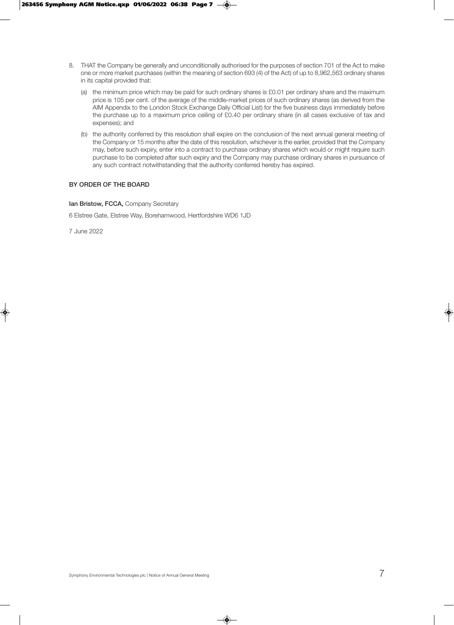- 8. THAT the Company be generally and unconditionally authorised for the purposes of section 701 of the Act to make one or more market purchases (within the meaning of section 693 (4) of the Act) of up to 8,962,563 ordinary shares in its capital provided that:
	- (a) the minimum price which may be paid for such ordinary shares is £0.01 per ordinary share and the maximum price is 105 per cent. of the average of the middle-market prices of such ordinary shares (as derived from the AIM Appendix to the London Stock Exchange Daily Official List) for the five business days immediately before the purchase up to a maximum price ceiling of £0.40 per ordinary share (in all cases exclusive of tax and expenses); and
	- (b) the authority conferred by this resolution shall expire on the conclusion of the next annual general meeting of the Company or 15 months after the date of this resolution, whichever is the earlier, provided that the Company may, before such expiry, enter into a contract to purchase ordinary shares which would or might require such purchase to be completed after such expiry and the Company may purchase ordinary shares in pursuance of any such contract notwithstanding that the authority conferred hereby has expired.

## **BY ORDER OF THE BOARD**

**Ian Bristow, FCCA,** Company Secretary

6 Elstree Gate, Elstree Way, Borehamwood, Hertfordshire WD6 1JD

7 June 2022